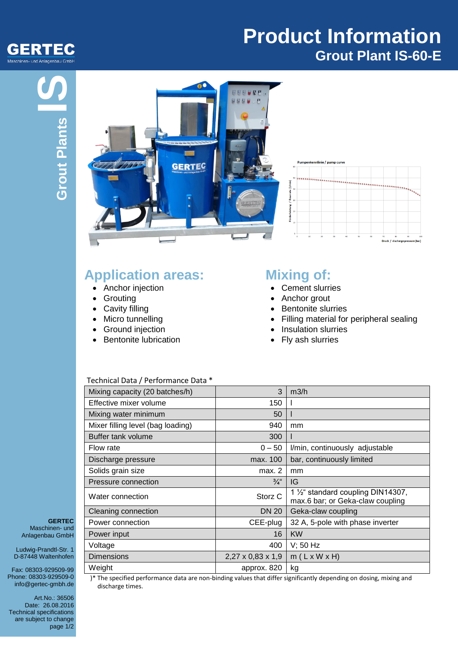

# **Product Information Grout Plant IS-60-E**





### **Application areas:**

- Anchor injection
- Grouting
- Cavity filling
- Micro tunnelling
- Ground injection
- Bentonite lubrication

## **Mixing of:**

- Cement slurries
- Anchor grout
- Bentonite slurries
- Filling material for peripheral sealing
- Insulation slurries
- Fly ash slurries

### Mixing capacity (20 batches/h)  $\frac{3}{\text{m3/h}}$ Effective mixer volume 150 | 1 Mixing water minimum and the state of the state of the state of the state of the state of the state of the state of the state of the state of the state of the state of the state of the state of the state of the state of th Mixer filling level (bag loading) | 940 | mm Buffer tank volume 300 Flow rate  $0 - 50$  |  $l/min$ , continuously adjustable Discharge pressure **Discharge pressure** max. 100 | bar, continuously limited Solids grain size max. 2 | mm Pressure connection and the state of the state  $\frac{3}{4}$  IG Water connection Storz C 1 <sup>1</sup>/<sub>2</sub>" standard coupling DIN14307, max.6 bar; or Geka-claw coupling Cleaning connection **DN** 20 Geka-claw coupling Power connection **Power connection CEE-plug** 32 A, 5-pole with phase inverter Power input 16 KW Voltage  $\vert$  400 V; 50 Hz Dimensions 2,27 x 0,83 x 1,9 m ( L x W x H) Weight **approx. 820** kg

**GERTEC** Maschinen- und Anlagenbau GmbH

Ludwig-Prandtl-Str. 1 D-87448 Waltenhofen

Fax: 08303-929509-99 Phone: 08303-929509-0 info@gertec-gmbh.de

Art.No.: 36506 Date: 26.08.2016 Technical specifications are subject to change page 1/2  )\* The specified performance data are non-binding values that differ significantly depending on dosing, mixing and discharge times.

#### Technical Data / Performance Data \*